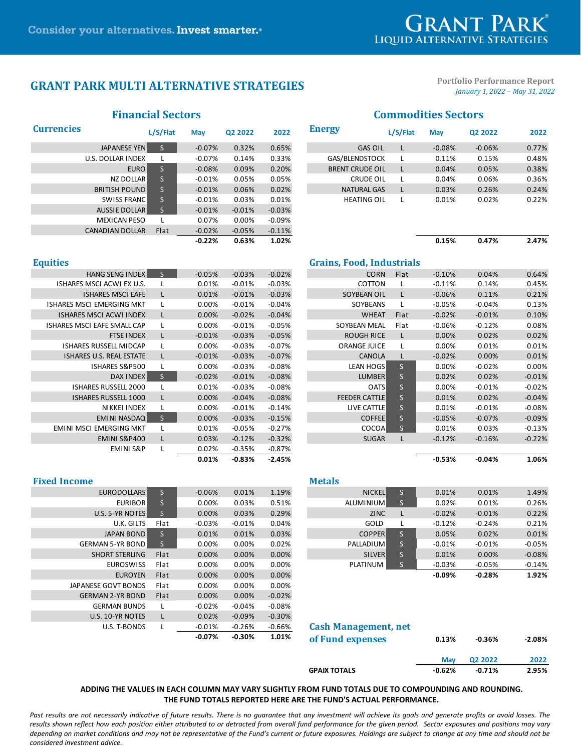# **GRANT PARK**

# **GRANT PARK MULTI ALTERNATIVE STRATEGIES**

**Portfolio Performance Report** *January 1, 2022 – May 31, 2022*

|                        | пинански эсспок |           |          | сопиточное эсского |                        |          |            |          |       |  |
|------------------------|-----------------|-----------|----------|--------------------|------------------------|----------|------------|----------|-------|--|
| <b>Currencies</b>      | L/S/Flat        | May       | Q2 2022  | 2022               | <b>Energy</b>          | L/S/Flat | <b>May</b> | Q2 2022  | 2022  |  |
| JAPANESE YEN           |                 | $-0.07%$  | 0.32%    | 0.65%              | <b>GAS OIL</b>         |          | $-0.08%$   | $-0.06%$ | 0.77% |  |
| U.S. DOLLAR INDEX      |                 | $-0.07\%$ | 0.14%    | 0.33%              | GAS/BLENDSTOCK         |          | 0.11%      | 0.15%    | 0.48% |  |
| EURO <sup>1</sup>      |                 | $-0.08%$  | 0.09%    | 0.20%              | <b>BRENT CRUDE OIL</b> |          | 0.04%      | 0.05%    | 0.38% |  |
| NZ DOLLAR              |                 | $-0.01%$  | 0.05%    | 0.05%              | <b>CRUDE OIL</b>       |          | 0.04%      | 0.06%    | 0.36% |  |
| <b>BRITISH POUND</b>   | S.              | $-0.01%$  | 0.06%    | 0.02%              | <b>NATURAL GAS</b>     |          | 0.03%      | 0.26%    | 0.24% |  |
| <b>SWISS FRANCI</b>    |                 | $-0.01%$  | 0.03%    | 0.01%              | <b>HEATING OIL</b>     |          | 0.01%      | 0.02%    | 0.22% |  |
| <b>AUSSIE DOLLAR</b>   |                 | $-0.01%$  | $-0.01%$ | $-0.03%$           |                        |          |            |          |       |  |
| <b>MEXICAN PESO</b>    |                 | 0.07%     | 0.00%    | $-0.09\%$          |                        |          |            |          |       |  |
| <b>CANADIAN DOLLAR</b> | Flat            | $-0.02%$  | $-0.05%$ | $-0.11%$           |                        |          |            |          |       |  |
|                        |                 | $-0.22%$  | 0.63%    | 1.02%              |                        |          | 0.15%      | 0.47%    | 2.47% |  |

### **Financial Sectors Commodities Sectors**

|                      | L/S/Flat        | <b>May</b> | Q2 2022  | 2022     | <b>Energy</b>          | L/S/Flat | <b>May</b> | Q2 2022  | 2022  |
|----------------------|-----------------|------------|----------|----------|------------------------|----------|------------|----------|-------|
| <b>JAPANESE YEN</b>  | S               | $-0.07%$   | 0.32%    | 0.65%    | <b>GAS OIL</b>         |          | $-0.08%$   | $-0.06%$ | 0.77% |
| U.S. DOLLAR INDEX    |                 | $-0.07\%$  | 0.14%    | 0.33%    | GAS/BLENDSTOCK         |          | 0.11%      | 0.15%    | 0.48% |
| EURO <sup>I</sup>    | ls.             | $-0.08%$   | 0.09%    | 0.20%    | <b>BRENT CRUDE OIL</b> |          | 0.04%      | 0.05%    | 0.38% |
| NZ DOLLAR            | $S_{\parallel}$ | $-0.01\%$  | 0.05%    | 0.05%    | CRUDE OIL              |          | 0.04%      | 0.06%    | 0.36% |
| <b>BRITISH POUND</b> | S               | $-0.01%$   | 0.06%    | 0.02%    | <b>NATURAL GAS</b>     |          | 0.03%      | 0.26%    | 0.24% |
| SWISS FRANC          | S.              | $-0.01\%$  | 0.03%    | 0.01%    | <b>HEATING OIL</b>     |          | 0.01%      | 0.02%    | 0.22% |
| <b>AUSSIE DOLLAR</b> |                 | $-0.01%$   | $-0.01%$ | $-0.03%$ |                        |          |            |          |       |

| 0.15% | 0.47% | 2.47% |
|-------|-------|-------|
|       |       |       |

| <b>Equities</b>                    |                         |          |          |          | <b>Grains, Food, Industrials</b> |      |           |          |          |
|------------------------------------|-------------------------|----------|----------|----------|----------------------------------|------|-----------|----------|----------|
| <b>HANG SENG INDEX</b>             | S                       | $-0.05%$ | $-0.03%$ | $-0.02%$ | <b>CORN</b>                      | Flat | $-0.10%$  | 0.04%    | 0.64%    |
| <b>ISHARES MSCI ACWI EX U.S.</b>   |                         | 0.01%    | $-0.01%$ | $-0.03%$ | COTTON                           |      | $-0.11%$  | 0.14%    | 0.45%    |
| <b>ISHARES MSCI EAFE</b>           |                         | 0.01%    | $-0.01%$ | $-0.03%$ | SOYBEAN OIL                      |      | $-0.06%$  | 0.11%    | 0.21%    |
| <b>ISHARES MSCI EMERGING MKT</b>   |                         | $0.00\%$ | $-0.01%$ | $-0.04%$ | <b>SOYBEANS</b>                  |      | $-0.05%$  | $-0.04%$ | 0.13%    |
| <b>ISHARES MSCI ACWI INDEX</b>     |                         | 0.00%    | $-0.02%$ | $-0.04%$ | <b>WHEAT</b>                     | Flat | $-0.02%$  | $-0.01%$ | 0.10%    |
| <b>ISHARES MSCI EAFE SMALL CAP</b> |                         | $0.00\%$ | $-0.01%$ | $-0.05%$ | SOYBEAN MEAL                     | Flat | $-0.06\%$ | $-0.12%$ | 0.08%    |
| <b>FTSE INDEX</b>                  | L                       | $-0.01%$ | $-0.03%$ | $-0.05%$ | <b>ROUGH RICE</b>                |      | 0.00%     | 0.02%    | 0.02%    |
| <b>ISHARES RUSSELL MIDCAP</b>      |                         | $0.00\%$ | $-0.03%$ | $-0.07%$ | <b>ORANGE JUICE</b>              |      | 0.00%     | 0.01%    | 0.01%    |
| <b>ISHARES U.S. REAL ESTATE</b>    | L                       | $-0.01%$ | $-0.03%$ | $-0.07%$ | <b>CANOLA</b>                    |      | $-0.02%$  | 0.00%    | 0.01%    |
| <b>ISHARES S&amp;P500</b>          |                         | 0.00%    | $-0.03%$ | $-0.08%$ | <b>LEAN HOGS</b>                 | S.   | 0.00%     | $-0.02%$ | 0.00%    |
| DAX INDEX                          | $S_{\parallel}$         | $-0.02%$ | $-0.01%$ | $-0.08%$ | LUMBER                           | S.   | 0.02%     | 0.02%    | $-0.01%$ |
| <b>ISHARES RUSSELL 2000</b>        |                         | 0.01%    | $-0.03%$ | $-0.08%$ | <b>OATS</b>                      | S    | 0.00%     | $-0.01%$ | $-0.02%$ |
| <b>ISHARES RUSSELL 1000</b>        |                         | 0.00%    | $-0.04%$ | $-0.08%$ | <b>FEEDER CATTLE</b>             | S.   | 0.01%     | 0.02%    | $-0.04%$ |
| NIKKEI INDEX                       |                         | $0.00\%$ | $-0.01%$ | $-0.14%$ | LIVE CATTLE                      | S    | 0.01%     | $-0.01%$ | $-0.08%$ |
| EMINI NASDAQ                       | $\overline{\mathsf{S}}$ | 0.00%    | $-0.03%$ | $-0.15%$ | <b>COFFEE</b>                    | S    | $-0.05%$  | $-0.07%$ | $-0.09%$ |
| EMINI MSCI EMERGING MKT            |                         | 0.01%    | $-0.05%$ | $-0.27%$ | COCOA                            | S.   | 0.01%     | 0.03%    | $-0.13%$ |
| <b>EMINI S&amp;P400</b>            | L                       | 0.03%    | $-0.12%$ | $-0.32%$ | <b>SUGAR</b>                     |      | $-0.12%$  | $-0.16%$ | $-0.22%$ |
| <b>EMINI S&amp;P</b>               |                         | 0.02%    | $-0.35%$ | $-0.87%$ |                                  |      |           |          |          |
|                                    |                         | 0.01%    | $-0.83%$ | $-2.45%$ |                                  |      | $-0.53%$  | $-0.04%$ | 1.06%    |

| ties                             |    |          |          |          | <b>Grains, Food, Industrials</b> |              |          |          |          |
|----------------------------------|----|----------|----------|----------|----------------------------------|--------------|----------|----------|----------|
| <b>HANG SENG INDEX</b>           | S. | $-0.05%$ | $-0.03%$ | $-0.02%$ | <b>CORN</b>                      | Flat         | $-0.10%$ | 0.04%    | 0.64%    |
| <b>ISHARES MSCI ACWI EX U.S.</b> |    | 0.01%    | $-0.01%$ | $-0.03%$ | COTTON                           |              | $-0.11%$ | 0.14%    | 0.45%    |
| <b>ISHARES MSCI EAFE</b>         | L  | 0.01%    | $-0.01%$ | $-0.03%$ | SOYBEAN OIL                      |              | $-0.06%$ | 0.11%    | 0.21%    |
| HARES MSCI EMERGING MKT          |    | 0.00%    | $-0.01%$ | $-0.04%$ | <b>SOYBEANS</b>                  |              | $-0.05%$ | $-0.04%$ | 0.13%    |
| <b>ISHARES MSCI ACWI INDEX</b>   |    | 0.00%    | $-0.02%$ | $-0.04%$ | <b>WHEAT</b>                     | Flat         | $-0.02%$ | $-0.01%$ | 0.10%    |
| HARES MSCI EAFE SMALL CAP        |    | 0.00%    | $-0.01%$ | $-0.05%$ | SOYBEAN MEAL                     | Flat         | $-0.06%$ | $-0.12%$ | 0.08%    |
| <b>FTSE INDEX</b>                | L  | $-0.01%$ | $-0.03%$ | $-0.05%$ | <b>ROUGH RICE</b>                |              | 0.00%    | 0.02%    | 0.02%    |
| <b>ISHARES RUSSELL MIDCAP</b>    |    | 0.00%    | $-0.03%$ | $-0.07%$ | <b>ORANGE JUICE</b>              |              | 0.00%    | 0.01%    | 0.01%    |
| <b>ISHARES U.S. REAL ESTATE</b>  | L  | $-0.01%$ | $-0.03%$ | $-0.07%$ | <b>CANOLA</b>                    |              | $-0.02%$ | 0.00%    | 0.01%    |
| <b>ISHARES S&amp;P500</b>        |    | 0.00%    | $-0.03%$ | $-0.08%$ | <b>LEAN HOGS</b>                 | S.           | 0.00%    | $-0.02%$ | 0.00%    |
| <b>DAX INDEX</b>                 | S. | $-0.02%$ | $-0.01%$ | $-0.08%$ | <b>LUMBER</b>                    | S            | 0.02%    | 0.02%    | $-0.01%$ |
| <b>ISHARES RUSSELL 2000</b>      |    | 0.01%    | $-0.03%$ | $-0.08%$ | <b>OATS</b>                      | S            | 0.00%    | $-0.01%$ | $-0.02%$ |
| <b>ISHARES RUSSELL 1000</b>      | L  | 0.00%    | $-0.04%$ | $-0.08%$ | <b>FEEDER CATTLE</b>             | $\mathsf{S}$ | 0.01%    | 0.02%    | $-0.04%$ |
| NIKKEI INDEX                     |    | 0.00%    | $-0.01%$ | $-0.14%$ | LIVE CATTLE                      | $\mathsf{S}$ | 0.01%    | $-0.01%$ | $-0.08%$ |
| EMINI NASDAQ                     | S. | 0.00%    | $-0.03%$ | $-0.15%$ | <b>COFFEE</b>                    | S.           | $-0.05%$ | $-0.07%$ | $-0.09%$ |
| EMINI MSCI EMERGING MKT          |    | 0.01%    | $-0.05%$ | $-0.27%$ | <b>COCOA</b>                     | S            | 0.01%    | 0.03%    | $-0.13%$ |
| <b>EMINI S&amp;P400</b>          | L  | 0.03%    | $-0.12%$ | $-0.32%$ | <b>SUGAR</b>                     |              | $-0.12%$ | $-0.16%$ | $-0.22%$ |
| <b>EMINI S&amp;P</b>             |    | 0.02%    | $-0.35%$ | $-0.87%$ |                                  |              |          |          |          |
|                                  |    | 0.01%    | $-0.83%$ | $-2.45%$ |                                  |              | $-0.53%$ | $-0.04%$ | 1.06%    |

| <b>Fixed Income</b>     |             |           |           |          | <b>Metals</b>               |    |           |          |          |
|-------------------------|-------------|-----------|-----------|----------|-----------------------------|----|-----------|----------|----------|
| <b>EURODOLLARS</b>      | S.          | $-0.06%$  | 0.01%     | 1.19%    | <b>NICKEL</b>               | S. | 0.01%     | 0.01%    | 1.49%    |
| <b>EURIBOR</b>          | S.          | 0.00%     | 0.03%     | 0.51%    | ALUMINIUM                   | S. | 0.02%     | 0.01%    | 0.26%    |
| U.S. 5-YR NOTES         | S.          | 0.00%     | 0.03%     | 0.29%    | <b>ZINC</b>                 |    | $-0.02\%$ | $-0.01%$ | 0.22%    |
| U.K. GILTS              | Flat        | $-0.03%$  | $-0.01\%$ | 0.04%    | GOLD                        |    | $-0.12%$  | $-0.24%$ | 0.21%    |
| <b>JAPAN BOND</b>       | $S_{\perp}$ | 0.01%     | 0.01%     | 0.03%    | <b>COPPER</b>               | S. | 0.05%     | 0.02%    | 0.01%    |
| <b>GERMAN 5-YR BOND</b> | S.          | 0.00%     | 0.00%     | 0.02%    | <b>PALLADIUM</b>            | S. | $-0.01%$  | $-0.01%$ | $-0.05%$ |
| <b>SHORT STERLING</b>   | Flat        | 0.00%     | 0.00%     | 0.00%    | <b>SILVER</b>               | S  | 0.01%     | 0.00%    | $-0.08%$ |
| <b>EUROSWISS</b>        | Flat        | 0.00%     | 0.00%     | 0.00%    | PLATINUM                    | S  | $-0.03%$  | $-0.05%$ | $-0.14%$ |
| <b>EUROYEN</b>          | Flat        | 0.00%     | 0.00%     | 0.00%    |                             |    | $-0.09\%$ | $-0.28%$ | 1.92%    |
| JAPANESE GOVT BONDS     | Flat        | 0.00%     | 0.00%     | 0.00%    |                             |    |           |          |          |
| <b>GERMAN 2-YR BOND</b> | Flat        | $0.00\%$  | $0.00\%$  | $-0.02%$ |                             |    |           |          |          |
| <b>GERMAN BUNDS</b>     |             | $-0.02%$  | -0.04%    | $-0.08%$ |                             |    |           |          |          |
| U.S. 10-YR NOTES        |             | 0.02%     | $-0.09\%$ | $-0.30%$ |                             |    |           |          |          |
| U.S. T-BONDS            |             | $-0.01\%$ | $-0.26%$  | $-0.66%$ | <b>Cash Management, net</b> |    |           |          |          |
|                         |             | $-0.07\%$ | $-0.30%$  | 1.01%    | of <b>Example of Allen</b>  |    | 0.420     | 0.200    | n nnn/   |

| U.S. 5-YR NOTES       |                 | 0.00%    | 0.03%                             | 0.29%    | <b>ZINC</b>      | $-0.02%$ | $-0.01%$      | 0.22%    |
|-----------------------|-----------------|----------|-----------------------------------|----------|------------------|----------|---------------|----------|
| U.K. GILTS            | Flat            | $-0.03%$ | $-0.01%$                          | 0.04%    | GOLD             | $-0.12%$ | $-0.24%$      | 0.21%    |
| <b>JAPAN BOND</b>     |                 | 0.01%    | 0.01%                             | 0.03%    | <b>COPPER</b>    | 0.05%    | 0.02%         | 0.01%    |
| GERMAN 5-YR BOND l    |                 | 0.00%    | 0.00%                             | 0.02%    | <b>PALLADIUM</b> | $-0.01%$ | $-0.01%$      | $-0.05%$ |
| <b>SHORT STERLING</b> | Flat            | 0.00%    | 0.00%                             | 0.00%    | <b>SILVER</b>    | 0.01%    | 0.00%         | $-0.08%$ |
| <b>EUROSWISS</b>      | Flat            | 0.00%    | 0.00%                             | $0.00\%$ | <b>PLATINUM</b>  | $-0.03%$ | $-0.05%$      | $-0.14%$ |
| <b>ELIDOVENI</b>      | E1 <sub>2</sub> | 0.000    | $\cap$ $\cap$ <sup>0</sup> $\vee$ | 0.000    |                  | n nov    | <b>0.200/</b> | 1.07%    |

#### **Cash Management, net**

| -0.07% | $-0.30\%$ | 1.01% | of Fund expenses    | 0.13%      | -0.36%              | $-2.08\%$ |
|--------|-----------|-------|---------------------|------------|---------------------|-----------|
|        |           |       |                     | <b>May</b> | Q <sub>2</sub> 2022 | 2022      |
|        |           |       | <b>GPAIX TOTALS</b> | $-0.62%$   | $-0.71%$            | 2.95%     |

#### **ADDING THE VALUES IN EACH COLUMN MAY VARY SLIGHTLY FROM FUND TOTALS DUE TO COMPOUNDING AND ROUNDING. THE FUND TOTALS REPORTED HERE ARE THE FUND'S ACTUAL PERFORMANCE.**

Past results are not necessarily indicative of future results. There is no guarantee that any investment will achieve its goals and generate profits or avoid losses. The *results shown reflect how each position either attributed to or detracted from overall fund performance for the given period. Sector exposures and positions may vary depending on market conditions and may not be representative of the Fund's current or future exposures. Holdings are subject to change at any time and should not be considered investment advice.*